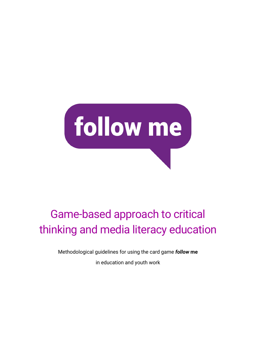

# Game-based approach to critical thinking and media literacy education

Methodological guidelines for using the card game *follow* **me** in education and youth work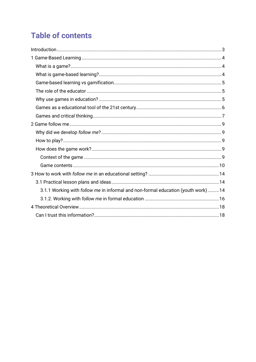## **Table of contents**

| 3.1.1 Working with follow me in informal and non-formal education (youth work)  14 |  |
|------------------------------------------------------------------------------------|--|
|                                                                                    |  |
|                                                                                    |  |
|                                                                                    |  |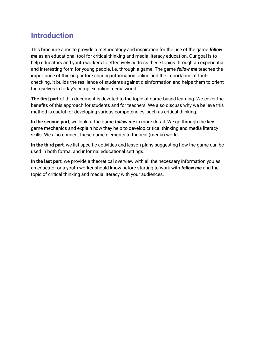## <span id="page-2-0"></span>**Introduction**

This brochure aims to provide a methodology and inspiration for the use of the game *follow me* as an educational tool for critical thinking and media literacy education. Our goal is to help educators and youth workers to effectively address these topics through an experiential and interesting form for young people, i.e. through a game. The game *follow me* teaches the importance of thinking before sharing information online and the importance of factchecking. It builds the resilience of students against disinformation and helps them to orient themselves in today's complex online media world.

**The first part** of this document is devoted to the topic of game-based learning. We cover the benefits of this approach for students and for teachers. We also discuss why we believe this method is useful for developing various competencies, such as critical thinking.

**In the second part**, we look at the game *follow me* in more detail. We go through the key game mechanics and explain how they help to develop critical thinking and media literacy skills. We also connect these game elements to the real (media) world.

**In the third part**, we list specific activities and lesson plans suggesting how the game can be used in both formal and informal educational settings.

**In the last part**, we provide a theoretical overview with all the necessary information you as an educator or a youth worker should know before starting to work with *follow me* and the topic of critical thinking and media literacy with your audiences.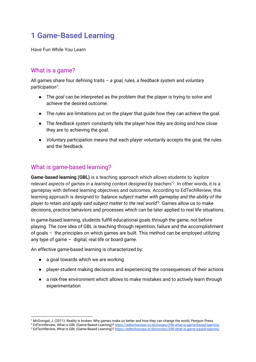## <span id="page-3-0"></span>**1 Game-Based Learning**

Have Fun While You Learn

## <span id="page-3-1"></span>What is a game?

All games share four defining traits – *a goal, rules, a feedback system* and *voluntary participation<sup>1</sup>* :

- The *goal* can be interpreted as the problem that the player is trying to solve and achieve the desired outcome.
- The *rules* are limitations put on the player that guide how they can achieve the goal.
- The *feedback system* constantly tells the player how they are doing and how close they are to achieving the goal.
- *Voluntary participation* means that each player voluntarily accepts the goal, the rules and the feedback.

## <span id="page-3-2"></span>What is game-based learning?

**Game-based learning (GBL)** is a teaching approach which allows students to *'explore relevant aspects of games in a learning context designed by teachers*' 2 . In other words, it is a gameplay with defined learning objectives and outcomes. According to EdTechReview, this learning approach is designed to '*balance subject matter with gameplay and the ability of the player to retain and apply said subject matter to the real world*' 3 . Games allow us to make decisions, practice behaviors and processes which can be later applied to real life situations.

In game-based learning, students fulfill educational goals *through* the game, not before playing. The core idea of GBL is teaching through repetition, failure and the accomplishment of goals – the principles on which games are built. This method can be employed utilizing any type of game  $-$  digital, real life or board game.

An effective game-based learning is characterized by:

- a goal towards which we are working
- player-student making decisions and experiencing the consequences of their actions
- a risk-free environment which allows to make mistakes and to actively learn through experimentation

<sup>1</sup> McGonigal, J. (2011). Reality is broken: Why games make us better and how they can change the world. Penguin Press.

<sup>2</sup> EdTechReview, What is GBL (Game-Based Learning)[? https://edtechreview.in/dictionary/298-what-is-game-based-learning](https://edtechreview.in/dictionary/298-what-is-game-based-learning) <sup>3</sup> EdTechReview, What is GBL (Game-Based Learning)[? https://edtechreview.in/dictionary/298-what-is-game-based-learning](https://edtechreview.in/dictionary/298-what-is-game-based-learning)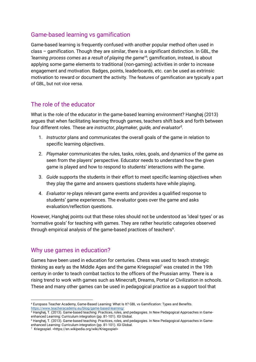## <span id="page-4-0"></span>Game-based learning vs gamification

Game-based learning is frequently confused with another popular method often used in class – gamification. Though they are similar, there is a significant distinction. In GBL, the '*learning process comes as a result of playing the game*' *4* ; gamification, instead, is about applying some game elements to traditional (non-gaming) activities in order to increase engagement and motivation*.* Badges, points, leaderboards, etc. can be used as extrinsic motivation to reward or document the activity. The features of gamification are typically a part of GBL, but not vice versa.

## <span id="page-4-1"></span>The role of the educator

What is the role of the educator in the game-based learning environment? Hanghøj (2013) argues that when facilitating learning through games, teachers shift back and forth between four different roles. These are *instructor, playmaker, guide, and evaluator<sup>5</sup> .*

- 1. *Instructor* plans and communicates the overall goals of the game in relation to specific learning objectives.
- 2. *Playmaker* communicates the rules, tasks, roles, goals, and dynamics of the game as seen from the players' perspective. Educator needs to understand how the given game is played and how to respond to students' interactions with the game.
- 3. *Guide* supports the students in their effort to meet specific learning objectives when they play the game and answers questions students have while playing.
- 4. *Evaluator* re-plays relevant game events and provides a qualified response to students' game experiences. The evaluator goes over the game and asks evaluation/reflection questions.

However, Hanghøj points out that these roles should not be understood as 'ideal types' or as 'normative goals' for teaching with games. They are rather heuristic categories observed through empirical analysis of the game-based practices of teachers $6$ .

## <span id="page-4-2"></span>Why use games in education?

Games have been used in education for centuries. Chess was used to teach strategic thinking as early as the Middle Ages and the game Kriegsspiel<sup>7</sup> was created in the 19th century in order to teach combat tactics to the officers of the Prussian army. There is a rising trend to work with games such as Minecraft, Dreams, Portal or Civilization in schools. These and many other games can be used in pedagogical practice as a support tool that

<sup>4</sup> Europass Teacher Academy, Game-Based Learning: What Is It? GBL vs Gamification: Types and Benefits. <https://www.teacheracademy.eu/blog/game-based-learning/>

<sup>5</sup> Hanghøj, T. (2013). Game-based teaching: Practices, roles, and pedagogies. In New Pedagogical Approaches in Gameenhanced Learning: Curriculum integration (pp. 81-101). IGI Global.

<sup>6</sup> Hanghøj, T. (2013). Game-based teaching: Practices, roles, and pedagogies. In New Pedagogical Approaches in Gameenhanced Learning: Curriculum integration (pp. 81-101). IGI Global.

<sup>7</sup> Kriegsspiel. <https://en.wikipedia.org/wiki/Kriegsspiel>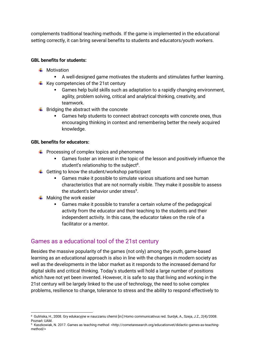complements traditional teaching methods. If the game is implemented in the educational setting correctly, it can bring several benefits to students and educators/youth workers.

#### **GBL benefits for students:**

- $\blacksquare$  Motivation
	- A well-designed game motivates the students and stimulates further learning.
- $\div$  Key competencies of the 21st century
	- Games help build skills such as adaptation to a rapidly changing environment, agility, problem solving, critical and analytical thinking, creativity, and teamwork.
- $\frac{1}{\sqrt{2}}$  Bridging the abstract with the concrete
	- Games help students to connect abstract concepts with concrete ones, thus encouraging thinking in context and remembering better the newly acquired knowledge.

#### **GBL benefits for educators:**

- $\downarrow$  Processing of complex topics and phenomena
	- Games foster an interest in the topic of the lesson and positively influence the student's relationship to the subject<sup>8</sup>.
- $\ddot{\phantom{1}}$  Getting to know the student/workshop participant
	- Games make it possible to simulate various situations and see human characteristics that are not normally visible. They make it possible to assess the student's behavior under stress<sup>9</sup>.
- $\frac{1}{\sqrt{2}}$  Making the work easier
	- Games make it possible to transfer a certain volume of the pedagogical activity from the educator and their teaching to the students and their independent activity. In this case, the educator takes on the role of a facilitator or a mentor.

### <span id="page-5-0"></span>Games as a educational tool of the 21st century

Besides the massive popularity of the games (not only) among the youth, game-based learning as an educational approach is also in line with the changes in modern society as well as the developments in the labor market as it responds to the increased demand for digital skills and critical thinking. Today's students will hold a large number of positions which have not yet been invented. However, it is safe to say that living and working in the 21st century will be largely linked to the use of technology, the need to solve complex problems, resilience to change, tolerance to stress and the ability to respond effectively to

<sup>8</sup> Gulińska, H., 2008. Gry edukacyjne w nauczaniu chemii [in:] Homo communicativus red. Surdyk, A., Szeja, J.Z., 2(4)/2008. Poznań: UAM.

<sup>9</sup> Kaszkowiak, N. 2017. Games as teaching method <http://cometaresearch.org/educationvet/didactic-games-as-teachingmethod/>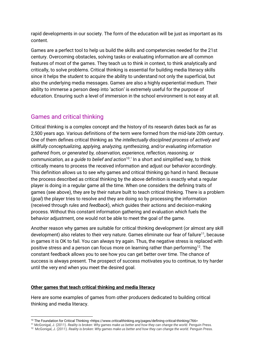rapid developments in our society. The form of the education will be just as important as its content.

Games are a perfect tool to help us build the skills and competencies needed for the 21st century. Overcoming obstacles, solving tasks or evaluating information are all common features of most of the games. They teach us to think in context, to think analytically and critically, to solve problems. Critical thinking is essential for building media literacy skills since it helps the student to acquire the ability to understand not only the superficial, but also the underlying media messages. Games are also a highly experiential medium. Their ability to immerse a person deep into 'action' is extremely useful for the purpose of education. Ensuring such a level of immersion in the school environment is not easy at all.

## <span id="page-6-0"></span>Games and critical thinking

Critical thinking is a complex concept and the history of its research dates back as far as 2,500 years ago. Various definitions of the term were formed from the mid-late 20th century. One of them defines critical thinking as '*the intellectually disciplined process of actively and skillfully conceptualizing, applying, analyzing, synthesizing, and/or evaluating information gathered from, or generated by, observation, experience, reflection, reasoning, or communication, as a guide to belief and action*<sup>10</sup>.' In a short and simplified way, to think critically means to process the received information and adjust our behavior accordingly. This definition allows us to see why games and critical thinking go hand in hand. Because the process described as critical thinking by the above definition is exactly what a regular player is doing in a regular game all the time. When one considers the defining traits of games (see above), they are by their nature built to teach critical thinking. There is a problem (*goal*) the player tries to resolve and they are doing so by processing the information (received through *rules* and *feedback*), which guides their actions and decision-making process. Without this constant information gathering and evaluation which fuels the behavior adjustment, one would not be able to meet the goal of the game.

Another reason why games are suitable for critical thinking development (or almost any skill development) also relates to their very nature. Games eliminate our fear of failure<sup>11</sup>, because in games it is OK to fail. You can always try again. Thus, the negative stress is replaced with positive stress and a person can focus more on learning rather than performing<sup>12</sup>. The constant feedback allows you to see how you can get better over time. The chance of success is always present. The prospect of success motivates you to continue, to try harder until the very end when you meet the desired goal.

#### **Other games that teach critical thinking and media literacy**

Here are some examples of games from other producers dedicated to building critical thinking and media literacy.

<sup>10</sup> The Foundation for Critical Thinking <https://www.criticalthinking.org/pages/defining-critical-thinking/766>

<sup>11</sup> McGonigal, J. (2011). *Reality is broken: Why games make us better and how they can change the world.* Penguin Press.

<sup>12</sup> McGonigal, J. (2011). *Reality is broken: Why games make us better and how they can change the world.* Penguin Press.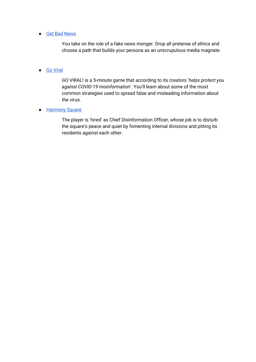#### ● [Get Bad News](https://www.getbadnews.com/#intro)

You take on the role of a fake news monger. Drop all pretense of ethics and choose a path that builds your persona as an unscrupulous media magnate.

#### ● [Go Viral](https://www.goviralgame.com/en)

GO VIRAL! is a 5-minute game that according to its creators '*helps protect you against COVID-19 misinformation*'. You'll learn about some of the most common strategies used to spread false and misleading information about the virus.

#### ● Harmony Square

The player is 'hired' as Chief Disinformation Officer, whose job is to disturb the square's peace and quiet by fomenting internal divisions and pitting its residents against each other.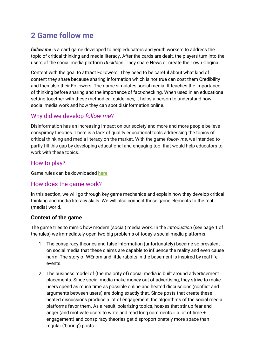## <span id="page-8-0"></span>**2 Game follow me**

*follow me* is a card game developed to help educators and youth workers to address the topic of critical thinking and media literacy. After the cards are dealt, the players turn into the users of the social media platform *Duckface.* They share News or create their own Original

Content with the goal to attract Followers. They need to be careful about what kind of content they share because sharing information which is not true can cost them Credibility and then also their Followers. The game simulates social media. It teaches the importance of thinking before sharing and the importance of fact-checking. When used in an educational setting together with these methodical guidelines, it helps a person to understand how social media work and how they can spot disinformation online.

## <span id="page-8-1"></span>Why did we develop *follow me*?

Disinformation has an increasing impact on our society and more and more people believe conspiracy theories. There is a lack of quality educational tools addressing the topics of critical thinking and media literacy on the market. With the game *follow me*, we intended to partly fill this gap by developing educational and engaging tool that would help educators to work with these topics.

## <span id="page-8-2"></span>How to play?

Game rules can be downloaded [here.](https://gamifactory.eu/en/follow-me)

## <span id="page-8-3"></span>How does the game work?

In this section, we will go through key game mechanics and explain how they develop critical thinking and media literacy skills. We will also connect these game elements to the real (media) world.

### <span id="page-8-4"></span>**Context of the game**

The game tries to mimic how modern (social) media work. In the *Introduction* (see page 1 of the rules) we immediately open two big problems of today's social media platforms.

- 1. The conspiracy theories and false information (unfortunately) became so prevalent on social media that these claims are capable to influence the reality and even cause harm. The story of WEnom and little rabbits in the basement is inspired by real life events.
- 2. The business model of (the majority of) social media is built around advertisement placements. Since social media make money out of advertising, they strive to make users spend as much time as possible online and heated discussions (conflict and arguments between users) are doing exactly that. Since posts that create these heated discussions produce a lot of engagement, the algorithms of the social media platforms favor them. As a result, polarizing topics, hoaxes that stir up fear and anger (and motivate users to write and read long comments = a lot of time + engagement) and conspiracy theories get disproportionately more space than regular ('boring') posts.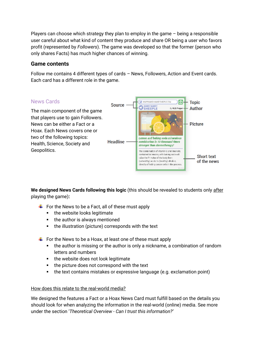Players can choose which strategy they plan to employ in the game – being a responsible user careful about what kind of content they produce and share OR being a user who favors profit (represented by *Followers*). The game was developed so that the former (person who only shares Facts) has much higher chances of winning.

### <span id="page-9-0"></span>**Game contents**

Follow me contains 4 different types of cards – News, Followers, Action and Event cards. Each card has a different role in the game.



We designed News Cards following this logic (this should be revealed to students only after playing the game)**:**

- $\overline{\phantom{a}}$  For the News to be a Fact, all of these must apply
	- the website looks legitimate
	- the author is always mentioned
	- the illustration (picture) corresponds with the text
- $\ddot{\phantom{1}}$  For the News to be a Hoax, at least one of these must apply
	- the author is missing or the author is only a nickname, a combination of random letters and numbers
	- the website does not look legitimate
	- the picture does not correspond with the text
	- the text contains mistakes or expressive language (e.g. exclamation point)

#### How does this relate to the real-world media?

We designed the features a Fact or a Hoax News Card must fulfill based on the details you should look for when analyzing the information in the real-world (online) media. See more under the section '*Theoretical Overview - Can I trust this information?'*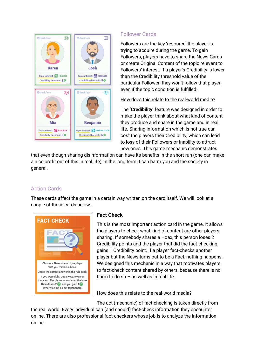

## Follower Cards

Followers are the key 'resource' the player is trying to acquire during the game. To gain Followers, players have to share the News Cards or create Original Content of the topic relevant to Followers' interest. If a player's Credibility is lower than the Credibility threshold value of the particular Follower, they won't follow that player, even if the topic condition is fulfilled.

How does this relate to the real-world media?

The **'Credibility'** feature was designed in order to make the player think about what kind of content they produce and share in the game and in real life. Sharing information which is not true can cost the players their Credibility, which can lead to loss of their Followers or inability to attract new ones. This game mechanic demonstrates

that even though sharing disinformation can have its benefits in the short run (one can make a nice profit out of this in real life), in the long term it can harm you and the society in general.

## Action Cards

These cards affect the game in a certain way written on the card itself. We will look at a couple of these cards below.



### **Fact Check**

This is the most important action card in the game. It allows the players to check what kind of content are other players sharing. If somebody shares a Hoax, this person loses 2 Credibility points and the player that did the fact-checking gains 1 Credibility point. If a player fact-checks another player but the News turns out to be a Fact, nothing happens. We designed this mechanic in a way that motivates players to fact-check content shared by others, because there is no harm to do so  $-$  as well as in real life.

How does this relate to the real-world media?

The act (mechanic) of fact-checking is taken directly from

the real world. Every individual can (and should) fact-check information they encounter online. There are also professional fact-checkers whose job is to analyze the information online.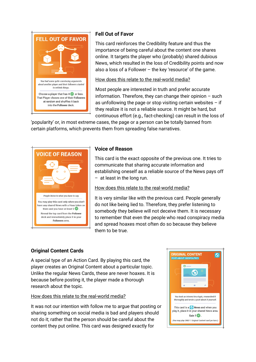

## **Fell Out of Favor**

This card reinforces the Credibility feature and thus the importance of being careful about the content one shares online. It targets the player who (probably) shared dubious News, which resulted in the loss of Credibility points and now also a loss of a Follower – the key 'resource' of the game.

#### How does this relate to the real-world media?

Most people are interested in truth and prefer accurate information. Therefore, they can change their opinion  $-$  such as unfollowing the page or stop visiting certain websites  $-$  if they realize it is not a reliable source. It might be hard, but continuous effort (e.g., fact-checking) can result in the loss of

'popularity' or, in most extreme cases, the page or a person can be totally banned from certain platforms, which prevents them from spreading false narratives.



#### **Voice of Reason**

This card is the exact opposite of the previous one. It tries to communicate that sharing accurate information and establishing oneself as a reliable source of the News pays off – at least in the long run.

How does this relate to the real-world media?

It is very similar like with the previous card. People generally do not like being lied to. Therefore, they prefer listening to somebody they believe will not deceive them. It is necessary to remember that even the people who read conspiracy media and spread hoaxes most often do so because they believe them to be true.

### **Original Content Cards**

A special type of an Action Card. By playing this card, the player creates an Original Content about a particular topic. Unlike the regular News Cards, these are never hoaxes. It is because before posting it, the player made a thorough research about the topic.

#### How does this relate to the real-world media?

It was not our intention with follow me to argue that posting or sharing something on social media is bad and players should not do it; rather that the person should be careful about the content they put online. This card was designed exactly for

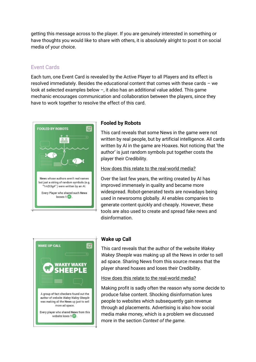getting this message across to the player. If you are genuinely interested in something or have thoughts you would like to share with others, it is absolutely alright to post it on social media of your choice.

## Event Cards

Each turn, one Event Card is revealed by the Active Player to all Players and its effect is resolved immediately. Besides the educational content that comes with these cards – we look at selected examples below –, it also has an additional value added. This game mechanic encourages communication and collaboration between the players, since they have to work together to resolve the effect of this card.



#### **Fooled by Robots**

This card reveals that some News in the game were not written by real people, but by artificial intelligence. All cards written by AI in the game are Hoaxes. Not noticing that 'the author' is just random symbols put together costs the player their Credibility.

#### How does this relate to the real-world media?

Over the last few years, the writing created by AI has improved immensely in quality and became more widespread. Robot-generated texts are nowadays being used in newsrooms globally. AI enables companies to generate content quickly and cheaply. However, these tools are also used to create and spread fake news and disinformation.



#### **Wake up Call**

This card reveals that the author of the website *Wakey Wakey Sheeple* was making up all the News in order to sell ad space. Sharing News from this source means that the player shared hoaxes and loses their Credibility.

How does this relate to the real-world media?

Making profit is sadly often the reason why some decide to produce false content. Shocking disinformation lures people to websites which subsequently gain revenue through ad placements. Advertising is also how social media make money, which is a problem we discussed more in the section *Context of the game*.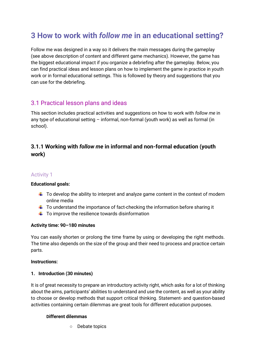## <span id="page-13-0"></span>**3 How to work with** *follow me* **in an educational setting?**

Follow me was designed in a way so it delivers the main messages during the gameplay (see above description of content and different game mechanics). However, the game has the biggest educational impact if you organize a debriefing after the gameplay. Below, you can find practical ideas and lesson plans on how to implement the game in practice in youth work or in formal educational settings. This is followed by theory and suggestions that you can use for the debriefing.

## <span id="page-13-1"></span>3.1 Practical lesson plans and ideas

This section includes practical activities and suggestions on how to work with *follow me* in any type of educational setting – informal, non-formal (youth work) as well as formal (in school).

## <span id="page-13-2"></span>**3.1.1 Working with** *follow me* **in informal and non-formal education (youth work)**

#### Activity 1

#### **Educational goals:**

- $\ddot{\phantom{1}}$  To develop the ability to interpret and analyze game content in the context of modern online media
- $\ddot{\phantom{1}}$  To understand the importance of fact-checking the information before sharing it
- $\ddot{\phantom{1}}$  To improve the resilience towards disinformation

#### **Activity time: 90–180 minutes**

You can easily shorten or prolong the time frame by using or developing the right methods. The time also depends on the size of the group and their need to process and practice certain parts.

#### **Instructions:**

#### **1. Introduction (30 minutes)**

It is of great necessity to prepare an introductory activity right, which asks for a lot of thinking about the aims, participants' abilities to understand and use the content, as well as your ability to choose or develop methods that support critical thinking. Statement- and question-based activities containing certain dilemmas are great tools for different education purposes.

#### **Different dilemmas**

○ Debate topics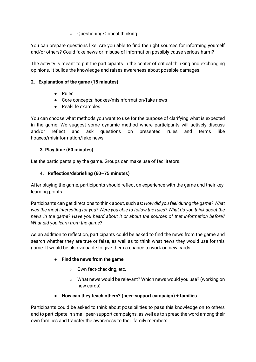#### ○ Questioning/Critical thinking

You can prepare questions like: Are you able to find the right sources for informing yourself and/or others? Could fake news or misuse of information possibly cause serious harm?

The activity is meant to put the participants in the center of critical thinking and exchanging opinions. It builds the knowledge and raises awareness about possible damages.

#### **2. Explanation of the game (15 minutes)**

- Rules
- Core concepts: hoaxes/misinformation/fake news
- Real-life examples

You can choose what methods you want to use for the purpose of clarifying what is expected in the game. We suggest some dynamic method where participants will actively discuss and/or reflect and ask questions on presented rules and terms like hoaxes/misinformation/fake news.

#### **3. Play time (60 minutes)**

Let the participants play the game. Groups can make use of facilitators.

#### **4. Reflection/debriefing (60–75 minutes)**

After playing the game, participants should reflect on experience with the game and their keylearning points.

Participants can get directions to think about, such as: *How did you feel during the game? What was the most interesting for you? Were you able to follow the rules? What do you think about the news in the game? Have you heard about it or about the sources of that information before? What did you learn from the game?*

As an addition to reflection, participants could be asked to find the news from the game and search whether they are true or false, as well as to think what news they would use for this game. It would be also valuable to give them a chance to work on new cards.

#### ● **Find the news from the game**

- Own fact-checking, etc.
- What news would be relevant? Which news would you use? (working on new cards)
- **How can they teach others? (peer-support campaign) + families**

Participants could be asked to think about possibilities to pass this knowledge on to others and to participate in small peer-support campaigns, as well as to spread the word among their own families and transfer the awareness to their family members.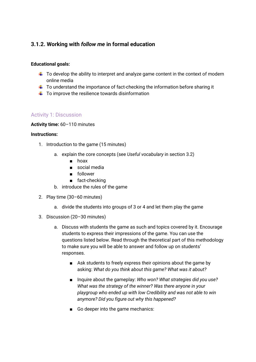## <span id="page-15-0"></span>**3.1.2. Working with** *follow me* **in formal education**

#### **Educational goals:**

- $\ddot{\phantom{1}}$  To develop the ability to interpret and analyze game content in the context of modern online media
- $\ddot{\phantom{1}}$  To understand the importance of fact-checking the information before sharing it
- $\ddot{\phantom{1}}$  To improve the resilience towards disinformation

#### Activity 1: Discussion

#### **Activity time:** 60–110 minutes

#### **Instructions:**

- 1. Introduction to the game (15 minutes)
	- a. explain the core concepts (see *Useful vocabulary* in section 3.2)
		- hoax
		- social media
		- follower
		- fact-checking
	- b. introduce the rules of the game
- 2. Play time (30–60 minutes)
	- a. divide the students into groups of 3 or 4 and let them play the game
- 3. Discussion (20–30 minutes)
	- a. Discuss with students the game as such and topics covered by it. Encourage students to express their impressions of the game. You can use the questions listed below. Read through the theoretical part of this methodology to make sure you will be able to answer and follow up on students' responses.
		- Ask students to freely express their opinions about the game by asking: *What do you think about this game? What was it about?*
		- Inquire about the gameplay: *Who won? What strategies did you use? What was the strategy of the winner? Was there anyone in your playgroup who ended up with low Credibility and was not able to win anymore? Did you figure out why this happened?*
		- Go deeper into the game mechanics: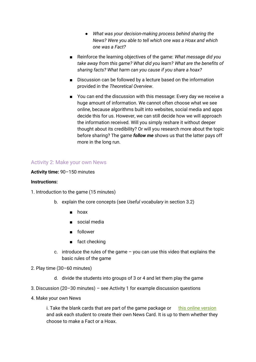- *What was your decision-making process behind sharing the News? Were you able to tell which one was a Hoax and which one was a Fact?*
- Reinforce the learning objectives of the game: *What message did you take away from this game? What did you learn? What are the benefits of sharing facts? What harm can you cause if you share a hoax?*
- Discussion can be followed by a lecture based on the information provided in the *Theoretical Overview*.
- You can end the discussion with this message: Every day we receive a huge amount of information. We cannot often choose what we see online, because algorithms built into websites, social media and apps decide this for us. However, we can still decide how we will approach the information received. Will you simply reshare it without deeper thought about its credibility? Or will you research more about the topic before sharing? The game *follow me* shows us that the latter pays off more in the long run.

#### Activity 2: Make your own News

#### **Activity time:** 90–150 minutes

#### **Instructions:**

- 1. Introduction to the game (15 minutes)
	- b. explain the core concepts (see *Useful vocabulary* in section 3.2)
		- hoax
		- social media
		- follower
		- fact checking
	- c. introduce the rules of the game you can use this video that explains the basic rules of the game
- 2. Play time (30–60 minutes)
	- d. divide the students into groups of 3 or 4 and let them play the game
- 3. Discussion (20–30 minutes) see Activity 1 for example discussion questions
- 4. Make your own News

i. Take the blank cards that are part of the game package or  $\frac{f}{g}$  [this online version](https://drive.google.com/drive/folders/1VCX4OzzrSA1_RRHdu2wQoOYDuk26W5e5?usp=sharing) and ask each student to create their own News Card. It is up to them whether they choose to make a Fact or a Hoax.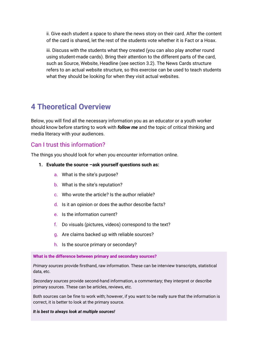ii. Give each student a space to share the news story on their card. After the content of the card is shared, let the rest of the students vote whether it is Fact or a Hoax.

iii. Discuss with the students what they created (you can also play another round using student-made cards). Bring their attention to the different parts of the card, such as Source, Website, Headline (see section 3.2). The News Cards structure refers to an actual website structure, so this exercise can be used to teach students what they should be looking for when they visit actual websites.

## <span id="page-17-0"></span>**4 Theoretical Overview**

Below, you will find all the necessary information you as an educator or a youth worker should know before starting to work with *follow me* and the topic of critical thinking and media literacy with your audiences.

## <span id="page-17-1"></span>Can I trust this information?

The things you should look for when you encounter information online.

- **1. Evaluate the source –ask yourself questions such as:** 
	- a. What is the site's purpose?
	- b. What is the site's reputation?
	- c. Who wrote the article? Is the author reliable?
	- d. Is it an opinion or does the author describe facts?
	- e. Is the information current?
	- f. Do visuals (pictures, videos) correspond to the text?
	- g. Are claims backed up with reliable sources?
	- h. Is the source primary or secondary?

#### **What is the difference between primary and secondary sources?**

*Primary sources* provide firsthand, raw information. These can be interview transcripts, statistical data, etc.

*Secondary sources* provide second-hand information, a commentary; they interpret or describe primary sources. These can be articles, reviews, etc.

Both sources can be fine to work with; however, if you want to be really sure that the information is correct, it is better to look at the primary source.

#### *It is best to always look at multiple sources!*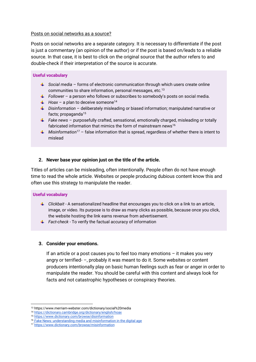#### Posts on social networks as a source?

Posts on social networks are a separate category. It is necessary to differentiate if the post is just a commentary (an opinion of the author) or if the post is based on/leads to a reliable source. In that case, it is best to click on the original source that the author refers to and double-check if their interpretation of the source is accurate.

#### **Useful vocabulary**

- *Social media* forms of electronic communication through which users create online communities to share information, personal messages, etc.<sup>13</sup>
- *Follower*  a person who follows or subscribes to somebody's posts on social media.
- $\downarrow$  Hoax a plan to deceive someone<sup>14</sup>
- *Disinformation*  deliberately misleading or biased information; manipulated narrative or facts; propaganda $15$
- *Fake news* purposefully crafted, sensational, emotionally charged, misleading or totally fabricated information that mimics the form of mainstream news<sup>16</sup>
- *Misinformation*<sup>17</sup> false information that is spread, regardless of whether there is intent to mislead

#### **2. Never base your opinion just on the title of the article.**

Titles of articles can be misleading, often intentionally. People often do not have enough time to read the whole article. Websites or people producing dubious content know this and often use this strategy to manipulate the reader.

#### **Useful vocabulary**

- *Clickbait -* A sensationalized headline that encourages you to click on a link to an article, image, or video. Its purpose is to draw as many clicks as possible, because once you click, the website hosting the link earns revenue from advertisement.
- *Fact-check -* To verify the factual accuracy of information

#### **3. Consider your emotions.**

If an article or a post causes you to feel too many emotions – it makes you very angry or terrified- –, probably it was meant to do it. Some websites or content producers intentionally play on basic human feelings such as fear or anger in order to manipulate the reader. You should be careful with this content and always look for facts and not catastrophic hypotheses or conspiracy theories.

<sup>13</sup> https://www.merriam-webster.com/dictionary/social%20media

<sup>14</sup> <https://dictionary.cambridge.org/dictionary/english/hoax>

<sup>15</sup> <https://www.dictionary.com/browse/disinformation>

<sup>&</sup>lt;sup>16</sup> [Fake News: understanding media and misinformation in the digital age](https://alliance-primo.hosted.exlibrisgroup.com/primo-explore/fulldisplay?docid=CP71320523600001451&vid=UW&search_scope=all&tab=default_tab&lang=en_US&context=L)

<sup>17</sup> <https://www.dictionary.com/browse/misinformation>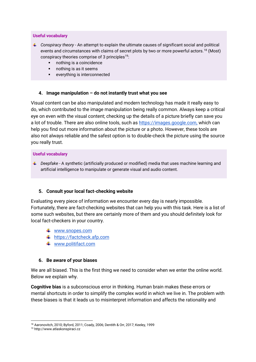#### **Useful vocabulary**

- *Conspiracy theory -* An attempt to explain the ultimate causes of significant social and political events and circumstances with claims of secret plots by two or more powerful actors.<sup>18</sup> (Most) conspiracy theories comprise of  $3$  principles<sup>19</sup>:
	- nothing is a coincidence
	- nothing is as it seems
	- everything is interconnected

#### **4. Image manipulation – do not instantly trust what you see**

Visual content can be also manipulated and modern technology has made it really easy to do, which contributed to the image manipulation being really common. Always keep a critical eye on even with the visual content; checking up the details of a picture briefly can save you a lot of trouble. There are also online tools, such as [https://images.google.com,](https://images.google.com/) which can help you find out more information about the picture or a photo. However, these tools are also not always reliable and the safest option is to double-check the picture using the source you really trust.

#### **Useful vocabulary**

*L* Deepfake - A synthetic (artificially produced or modified) media that uses machine learning and artificial intelligence to manipulate or generate visual and audio content.

#### **5. Consult your local fact-checking website**

Evaluating every piece of information we encounter every day is nearly impossible. Fortunately, there are fact-checking websites that can help you with this task. Here is a list of some such websites, but there are certainly more of them and you should definitely look for local fact-checkers in your country.

- [www.snopes.com](http://www.snopes.com/)
- [https://factcheck.afp.com](https://factcheck.afp.com/)
- **↓** [www.politifact.com](http://www.politifact.com/)

#### **6. Be aware of your biases**

We are all biased. This is the first thing we need to consider when we enter the online world. Below we explain why.

**Cognitive bias** is a subconscious error in thinking. Human brain makes these errors or mental shortcuts in order to simplify the complex world in which we live in. The problem with these biases is that it leads us to misinterpret information and affects the rationality and

<sup>18</sup> Aaronovitch, 2010; Byford, 2011; Coady, 2006; Dentith & Orr, 2017; Keeley, 1999

<sup>19</sup> http://www.atlaskonspiraci.cz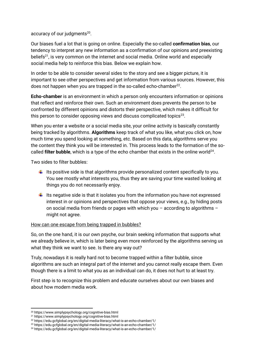accuracy of our judgments<sup>20</sup>.

Our biases fuel a lot that is going on online. Especially the so-called **confirmation bias**, our tendency to interpret any new information as a confirmation of our opinions and preexisting beliefs<sup>21</sup>, is very common on the internet and social media. Online world and especially social media help to reinforce this bias. Below we explain how.

In order to be able to consider several sides to the story and see a bigger picture, it is important to see other perspectives and get information from various sources. However, this does not happen when you are trapped in the so-called echo-chamber $^{22}$ .

**Echo-chamber** is an environment in which a person only encounters information or opinions that reflect and reinforce their own. Such an environment does prevents the person to be confronted by different opinions and distorts their perspective, which makes it difficult for this person to consider opposing views and discuss complicated topics $^{23}$ .

When you enter a website or a social media site, your online activity is basically constantly being tracked by algorithms. **Algorithms** keep track of what you like, what you click on, how much time you spend looking at something, etc. Based on this data, algorithms serve you the content they think you will be interested in. This process leads to the formation of the socalled **filter bubble**, which is a type of the echo chamber that exists in the online world<sup>24</sup>.

Two sides to filter bubbles:

- $\ddot{\phantom{1}}$  Its positive side is that algorithms provide personalized content specifically to you. You see mostly what interests you, thus they are saving your time wasted looking at things you do not necessarily enjoy.
- $\ddot{\phantom{1}}$  Its negative side is that it isolates you from the information you have not expressed interest in or opinions and perspectives that oppose your views, e.g., by hiding posts on social media from friends or pages with which you – according to algorithms – might not agree.

#### How can one escape from being trapped in bubbles?

So, on the one hand, it is our own psyche, our brain seeking information that supports what we already believe in, which is later being even more reinforced by the algorithms serving us what they think we want to see. Is there any way out?

Truly, nowadays it is really hard not to become trapped within a filter bubble, since algorithms are such an integral part of the internet and you cannot really escape them. Even though there is a limit to what you as an individual can do, it does not hurt to at least try.

First step is to recognize this problem and educate ourselves about our own biases and about how modern media work.

<sup>20</sup> https://www.simplypsychology.org/cognitive-bias.html

<sup>21</sup> https://www.simplypsychology.org/cognitive-bias.html

<sup>22</sup> https://edu.gcfglobal.org/en/digital-media-literacy/what-is-an-echo-chamber/1/

<sup>23</sup> https://edu.gcfglobal.org/en/digital-media-literacy/what-is-an-echo-chamber/1/

<sup>24</sup> https://edu.gcfglobal.org/en/digital-media-literacy/what-is-an-echo-chamber/1/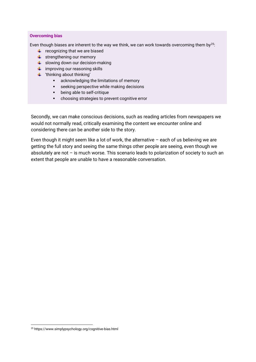#### **Overcoming bias**

Even though biases are inherent to the way we think, we can work towards overcoming them by<sup>25</sup>:

- $\leftarrow$  recognizing that we are biased
- $\leftarrow$  strengthening our memory
- $\frac{1}{2}$  slowing down our decision-making
- $\ddot{\bullet}$  improving our reasoning skills
- $\ddot{\bullet}$  'thinking about thinking'
	- acknowledging the limitations of memory
	- **EXECTE:** seeking perspective while making decisions
	- being able to self-critique
	- choosing strategies to prevent cognitive error

Secondly, we can make conscious decisions, such as reading articles from newspapers we would not normally read, critically examining the content we encounter online and considering there can be another side to the story.

Even though it might seem like a lot of work, the alternative – each of us believing we are getting the full story and seeing the same things other people are seeing, even though we absolutely are not – is much worse. This scenario leads to polarization of society to such an extent that people are unable to have a reasonable conversation.

<sup>25</sup> https://www.simplypsychology.org/cognitive-bias.html